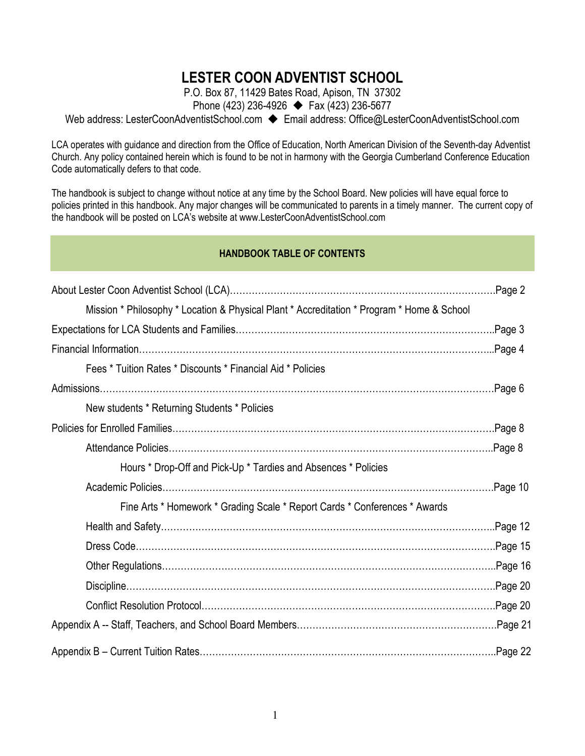# LESTER COON ADVENTIST SCHOOL

P.O. Box 87, 11429 Bates Road, Apison, TN 37302

Phone (423) 236-4926 → Fax (423) 236-5677

Web address: LesterCoonAdventistSchool.com → Email address: Office@LesterCoonAdventistSchool.com

LCA operates with guidance and direction from the Office of Education, North American Division of the Seventh-day Adventist Church. Any policy contained herein which is found to be not in harmony with the Georgia Cumberland Conference Education Code automatically defers to that code.

The handbook is subject to change without notice at any time by the School Board. New policies will have equal force to policies printed in this handbook. Any major changes will be communicated to parents in a timely manner. The current copy of the handbook will be posted on LCA's website at www.LesterCoonAdventistSchool.com

## HANDBOOK TABLE OF CONTENTS

|                                                                                            | Page 2  |
|--------------------------------------------------------------------------------------------|---------|
| Mission * Philosophy * Location & Physical Plant * Accreditation * Program * Home & School |         |
|                                                                                            | Page 3. |
|                                                                                            |         |
| Fees * Tuition Rates * Discounts * Financial Aid * Policies                                |         |
|                                                                                            |         |
| New students * Returning Students * Policies                                               |         |
|                                                                                            | Page 8. |
|                                                                                            |         |
| Hours * Drop-Off and Pick-Up * Tardies and Absences * Policies                             |         |
|                                                                                            | Page 10 |
| Fine Arts * Homework * Grading Scale * Report Cards * Conferences * Awards                 |         |
|                                                                                            |         |
|                                                                                            |         |
|                                                                                            |         |
|                                                                                            | Page 20 |
|                                                                                            | Page 20 |
|                                                                                            |         |
|                                                                                            | Page 22 |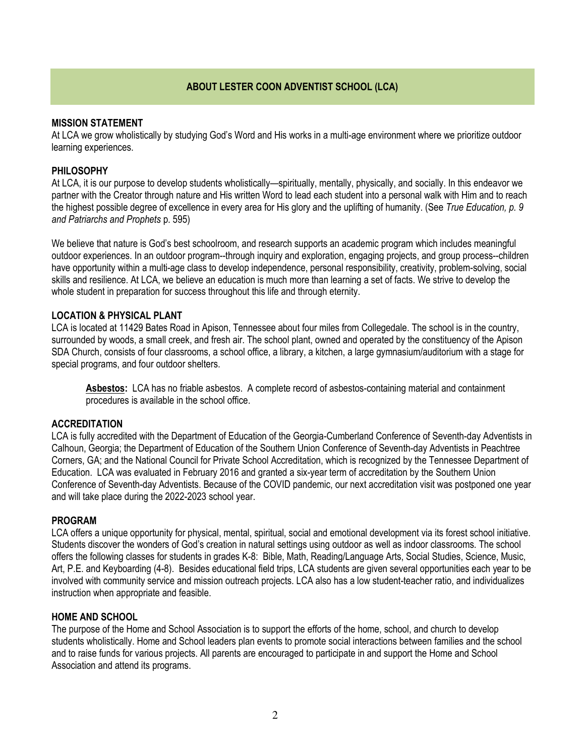## ABOUT LESTER COON ADVENTIST SCHOOL (LCA)

### MISSION STATEMENT

At LCA we grow wholistically by studying God's Word and His works in a multi-age environment where we prioritize outdoor learning experiences.

## PHILOSOPHY

At LCA, it is our purpose to develop students wholistically—spiritually, mentally, physically, and socially. In this endeavor we partner with the Creator through nature and His written Word to lead each student into a personal walk with Him and to reach the highest possible degree of excellence in every area for His glory and the uplifting of humanity. (See True Education, p. 9 and Patriarchs and Prophets p. 595)

We believe that nature is God's best schoolroom, and research supports an academic program which includes meaningful outdoor experiences. In an outdoor program--through inquiry and exploration, engaging projects, and group process--children have opportunity within a multi-age class to develop independence, personal responsibility, creativity, problem-solving, social skills and resilience. At LCA, we believe an education is much more than learning a set of facts. We strive to develop the whole student in preparation for success throughout this life and through eternity.

## LOCATION & PHYSICAL PLANT

LCA is located at 11429 Bates Road in Apison, Tennessee about four miles from Collegedale. The school is in the country, surrounded by woods, a small creek, and fresh air. The school plant, owned and operated by the constituency of the Apison SDA Church, consists of four classrooms, a school office, a library, a kitchen, a large gymnasium/auditorium with a stage for special programs, and four outdoor shelters.

Asbestos: LCA has no friable asbestos. A complete record of asbestos-containing material and containment procedures is available in the school office.

#### **ACCREDITATION**

LCA is fully accredited with the Department of Education of the Georgia-Cumberland Conference of Seventh-day Adventists in Calhoun, Georgia; the Department of Education of the Southern Union Conference of Seventh-day Adventists in Peachtree Corners, GA; and the National Council for Private School Accreditation, which is recognized by the Tennessee Department of Education. LCA was evaluated in February 2016 and granted a six-year term of accreditation by the Southern Union Conference of Seventh-day Adventists. Because of the COVID pandemic, our next accreditation visit was postponed one year and will take place during the 2022-2023 school year.

#### PROGRAM

LCA offers a unique opportunity for physical, mental, spiritual, social and emotional development via its forest school initiative. Students discover the wonders of God's creation in natural settings using outdoor as well as indoor classrooms. The school offers the following classes for students in grades K-8: Bible, Math, Reading/Language Arts, Social Studies, Science, Music, Art, P.E. and Keyboarding (4-8). Besides educational field trips, LCA students are given several opportunities each year to be involved with community service and mission outreach projects. LCA also has a low student-teacher ratio, and individualizes instruction when appropriate and feasible.

#### HOME AND SCHOOL

The purpose of the Home and School Association is to support the efforts of the home, school, and church to develop students wholistically. Home and School leaders plan events to promote social interactions between families and the school and to raise funds for various projects. All parents are encouraged to participate in and support the Home and School Association and attend its programs.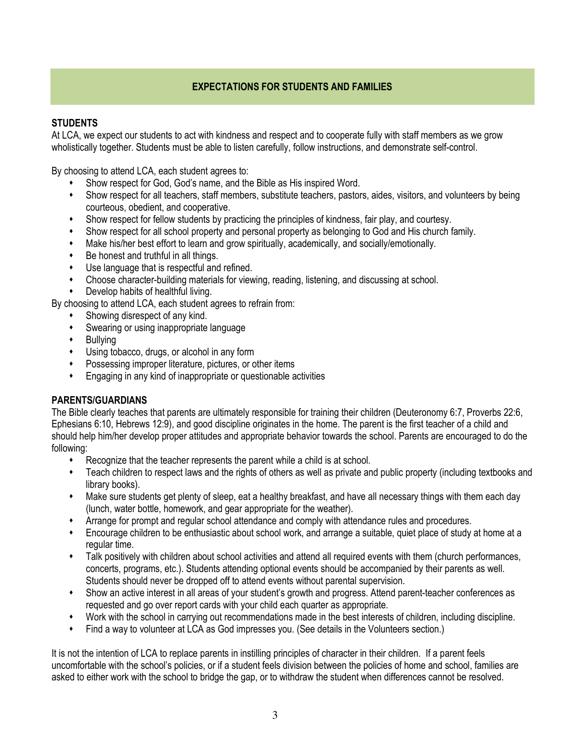## EXPECTATIONS FOR STUDENTS AND FAMILIES

## **STUDENTS**

At LCA, we expect our students to act with kindness and respect and to cooperate fully with staff members as we grow wholistically together. Students must be able to listen carefully, follow instructions, and demonstrate self-control.

By choosing to attend LCA, each student agrees to:

- $\ddot{\bullet}$ Show respect for God, God's name, and the Bible as His inspired Word.
- $\ddot{\bullet}$  Show respect for all teachers, staff members, substitute teachers, pastors, aides, visitors, and volunteers by being courteous, obedient, and cooperative.
- $\ddot{\bullet}$ Show respect for fellow students by practicing the principles of kindness, fair play, and courtesy.
- $\ddot{\phantom{0}}$ Show respect for all school property and personal property as belonging to God and His church family.
- $\ddot{\phantom{0}}$ Make his/her best effort to learn and grow spiritually, academically, and socially/emotionally.
- $\ddot{\bullet}$ Be honest and truthful in all things.
- $\ddot{\bullet}$ Use language that is respectful and refined.
- $\ddot{\phantom{0}}$ Choose character-building materials for viewing, reading, listening, and discussing at school.
- $\ddot{\bullet}$ Develop habits of healthful living.

By choosing to attend LCA, each student agrees to refrain from:

- $\ddot{\phantom{0}}$ Showing disrespect of any kind.
- $\ddot{\bullet}$ Swearing or using inappropriate language
- $\bullet$ Bullying
- $\ddot{\bullet}$ Using tobacco, drugs, or alcohol in any form
- $\ddot{\bullet}$ Possessing improper literature, pictures, or other items
- $\ddot{\bullet}$ Engaging in any kind of inappropriate or questionable activities

## PARENTS/GUARDIANS

The Bible clearly teaches that parents are ultimately responsible for training their children (Deuteronomy 6:7, Proverbs 22:6, Ephesians 6:10, Hebrews 12:9), and good discipline originates in the home. The parent is the first teacher of a child and should help him/her develop proper attitudes and appropriate behavior towards the school. Parents are encouraged to do the following:

- $\bullet$ Recognize that the teacher represents the parent while a child is at school.
- $\ddot{\bullet}$  Teach children to respect laws and the rights of others as well as private and public property (including textbooks and library books).
- $\ddot{\bullet}$  Make sure students get plenty of sleep, eat a healthy breakfast, and have all necessary things with them each day (lunch, water bottle, homework, and gear appropriate for the weather).
- $\ddot{\phantom{0}}$ Arrange for prompt and regular school attendance and comply with attendance rules and procedures.
- $\ddot{\bullet}$  Encourage children to be enthusiastic about school work, and arrange a suitable, quiet place of study at home at a regular time.
- $\bullet$  Talk positively with children about school activities and attend all required events with them (church performances, concerts, programs, etc.). Students attending optional events should be accompanied by their parents as well. Students should never be dropped off to attend events without parental supervision.
- $\bullet$  Show an active interest in all areas of your student's growth and progress. Attend parent-teacher conferences as requested and go over report cards with your child each quarter as appropriate.
- $\ddot{\bullet}$ Work with the school in carrying out recommendations made in the best interests of children, including discipline.
- $\ddot{\phantom{0}}$ Find a way to volunteer at LCA as God impresses you. (See details in the Volunteers section.)

It is not the intention of LCA to replace parents in instilling principles of character in their children. If a parent feels uncomfortable with the school's policies, or if a student feels division between the policies of home and school, families are asked to either work with the school to bridge the gap, or to withdraw the student when differences cannot be resolved.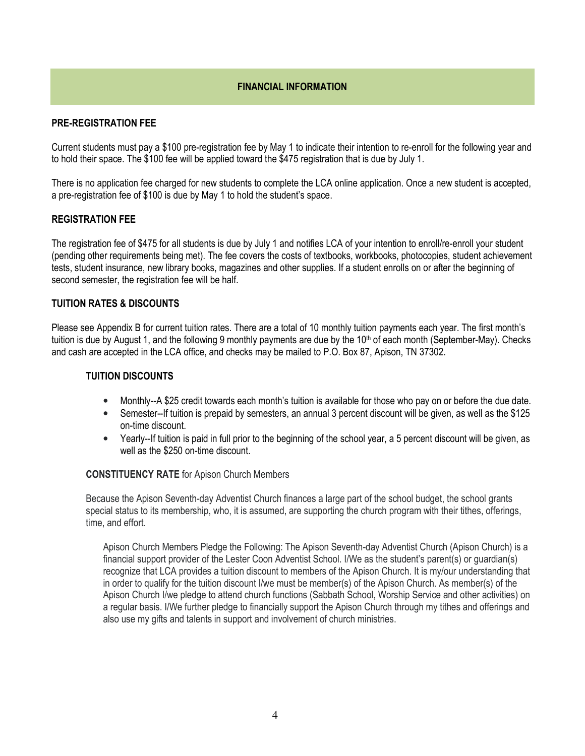## FINANCIAL INFORMATION

### PRE-REGISTRATION FEE

Current students must pay a \$100 pre-registration fee by May 1 to indicate their intention to re-enroll for the following year and to hold their space. The \$100 fee will be applied toward the \$475 registration that is due by July 1.

There is no application fee charged for new students to complete the LCA online application. Once a new student is accepted, a pre-registration fee of \$100 is due by May 1 to hold the student's space.

## REGISTRATION FEE

The registration fee of \$475 for all students is due by July 1 and notifies LCA of your intention to enroll/re-enroll your student (pending other requirements being met). The fee covers the costs of textbooks, workbooks, photocopies, student achievement tests, student insurance, new library books, magazines and other supplies. If a student enrolls on or after the beginning of second semester, the registration fee will be half.

## TUITION RATES & DISCOUNTS

Please see Appendix B for current tuition rates. There are a total of 10 monthly tuition payments each year. The first month's tuition is due by August 1, and the following 9 monthly payments are due by the 10<sup>th</sup> of each month (September-May). Checks and cash are accepted in the LCA office, and checks may be mailed to P.O. Box 87, Apison, TN 37302.

### TUITION DISCOUNTS

- Monthly--A \$25 credit towards each month's tuition is available for those who pay on or before the due date.
- Semester--If tuition is prepaid by semesters, an annual 3 percent discount will be given, as well as the \$125 on-time discount.
- Yearly--If tuition is paid in full prior to the beginning of the school year, a 5 percent discount will be given, as well as the \$250 on-time discount.

#### CONSTITUENCY RATE for Apison Church Members

Because the Apison Seventh-day Adventist Church finances a large part of the school budget, the school grants special status to its membership, who, it is assumed, are supporting the church program with their tithes, offerings, time, and effort.

Apison Church Members Pledge the Following: The Apison Seventh-day Adventist Church (Apison Church) is a financial support provider of the Lester Coon Adventist School. I/We as the student's parent(s) or guardian(s) recognize that LCA provides a tuition discount to members of the Apison Church. It is my/our understanding that in order to qualify for the tuition discount I/we must be member(s) of the Apison Church. As member(s) of the Apison Church I/we pledge to attend church functions (Sabbath School, Worship Service and other activities) on a regular basis. I/We further pledge to financially support the Apison Church through my tithes and offerings and also use my gifts and talents in support and involvement of church ministries.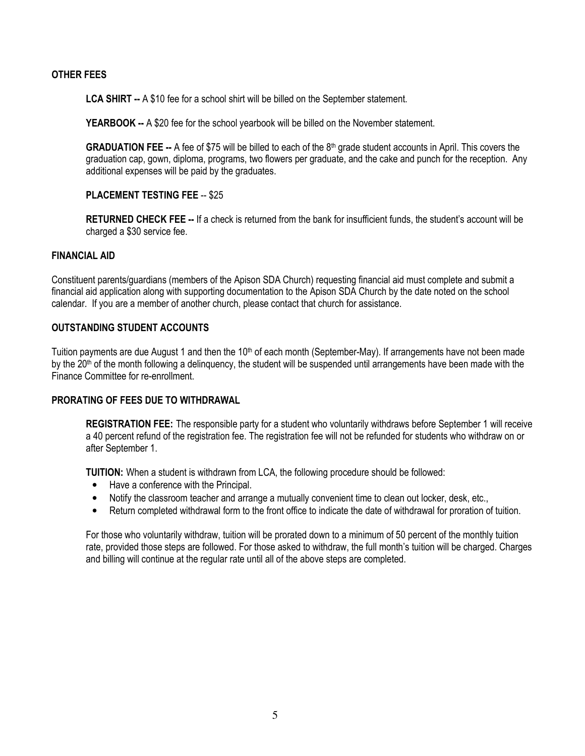### OTHER FEES

LCA SHIRT -- A \$10 fee for a school shirt will be billed on the September statement.

YEARBOOK -- A \$20 fee for the school yearbook will be billed on the November statement.

**GRADUATION FEE --** A fee of \$75 will be billed to each of the  $8<sup>th</sup>$  grade student accounts in April. This covers the graduation cap, gown, diploma, programs, two flowers per graduate, and the cake and punch for the reception. Any additional expenses will be paid by the graduates.

## PLACEMENT TESTING FEE -- \$25

RETURNED CHECK FEE -- If a check is returned from the bank for insufficient funds, the student's account will be charged a \$30 service fee.

#### FINANCIAL AID

Constituent parents/guardians (members of the Apison SDA Church) requesting financial aid must complete and submit a financial aid application along with supporting documentation to the Apison SDA Church by the date noted on the school calendar. If you are a member of another church, please contact that church for assistance.

## OUTSTANDING STUDENT ACCOUNTS

Tuition payments are due August 1 and then the 10<sup>th</sup> of each month (September-May). If arrangements have not been made by the  $20<sup>th</sup>$  of the month following a delinquency, the student will be suspended until arrangements have been made with the Finance Committee for re-enrollment.

### PRORATING OF FEES DUE TO WITHDRAWAL

REGISTRATION FEE: The responsible party for a student who voluntarily withdraws before September 1 will receive a 40 percent refund of the registration fee. The registration fee will not be refunded for students who withdraw on or after September 1.

TUITION: When a student is withdrawn from LCA, the following procedure should be followed:

- Have a conference with the Principal.
- Notify the classroom teacher and arrange a mutually convenient time to clean out locker, desk, etc.,
- Return completed withdrawal form to the front office to indicate the date of withdrawal for proration of tuition.

For those who voluntarily withdraw, tuition will be prorated down to a minimum of 50 percent of the monthly tuition rate, provided those steps are followed. For those asked to withdraw, the full month's tuition will be charged. Charges and billing will continue at the regular rate until all of the above steps are completed.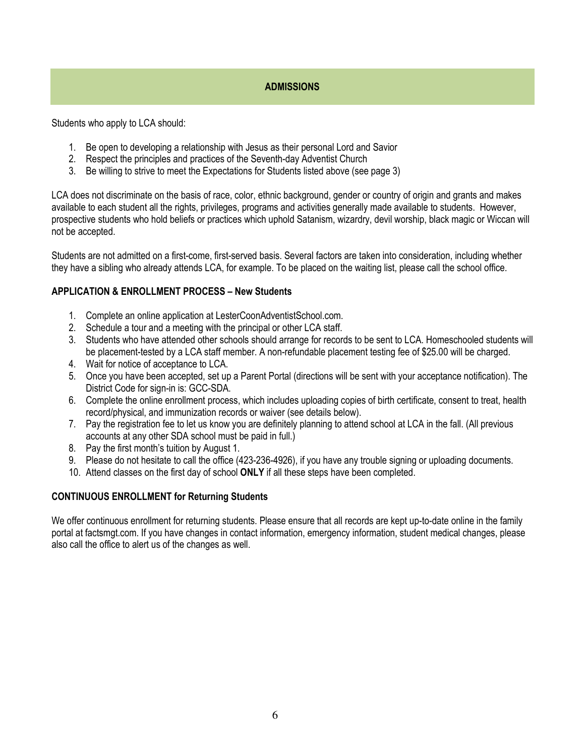## **ADMISSIONS**

Students who apply to LCA should:

- 1. Be open to developing a relationship with Jesus as their personal Lord and Savior
- 2. Respect the principles and practices of the Seventh-day Adventist Church
- 3. Be willing to strive to meet the Expectations for Students listed above (see page 3)

LCA does not discriminate on the basis of race, color, ethnic background, gender or country of origin and grants and makes available to each student all the rights, privileges, programs and activities generally made available to students. However, prospective students who hold beliefs or practices which uphold Satanism, wizardry, devil worship, black magic or Wiccan will not be accepted.

Students are not admitted on a first-come, first-served basis. Several factors are taken into consideration, including whether they have a sibling who already attends LCA, for example. To be placed on the waiting list, please call the school office.

## APPLICATION & ENROLLMENT PROCESS – New Students

- 1. Complete an online application at LesterCoonAdventistSchool.com.
- 2. Schedule a tour and a meeting with the principal or other LCA staff.
- 3. Students who have attended other schools should arrange for records to be sent to LCA. Homeschooled students will be placement-tested by a LCA staff member. A non-refundable placement testing fee of \$25.00 will be charged.
- 4. Wait for notice of acceptance to LCA.
- 5. Once you have been accepted, set up a Parent Portal (directions will be sent with your acceptance notification). The District Code for sign-in is: GCC-SDA.
- 6. Complete the online enrollment process, which includes uploading copies of birth certificate, consent to treat, health record/physical, and immunization records or waiver (see details below).
- 7. Pay the registration fee to let us know you are definitely planning to attend school at LCA in the fall. (All previous accounts at any other SDA school must be paid in full.)
- 8. Pay the first month's tuition by August 1.
- 9. Please do not hesitate to call the office (423-236-4926), if you have any trouble signing or uploading documents.
- 10. Attend classes on the first day of school ONLY if all these steps have been completed.

## CONTINUOUS ENROLLMENT for Returning Students

We offer continuous enrollment for returning students. Please ensure that all records are kept up-to-date online in the family portal at factsmgt.com. If you have changes in contact information, emergency information, student medical changes, please also call the office to alert us of the changes as well.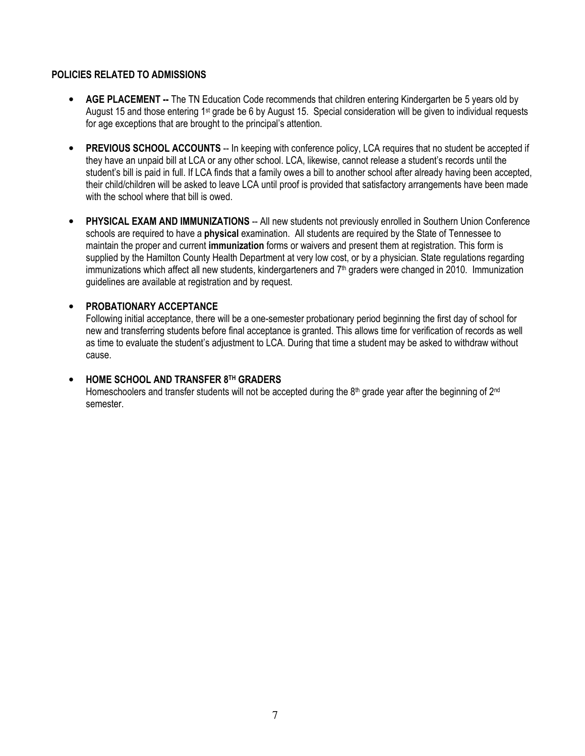## POLICIES RELATED TO ADMISSIONS

- AGE PLACEMENT -- The TN Education Code recommends that children entering Kindergarten be 5 years old by August 15 and those entering 1st grade be 6 by August 15. Special consideration will be given to individual requests for age exceptions that are brought to the principal's attention.
- PREVIOUS SCHOOL ACCOUNTS -- In keeping with conference policy, LCA requires that no student be accepted if they have an unpaid bill at LCA or any other school. LCA, likewise, cannot release a student's records until the student's bill is paid in full. If LCA finds that a family owes a bill to another school after already having been accepted, their child/children will be asked to leave LCA until proof is provided that satisfactory arrangements have been made with the school where that bill is owed.
- PHYSICAL EXAM AND IMMUNIZATIONS -- All new students not previously enrolled in Southern Union Conference schools are required to have a **physical** examination. All students are required by the State of Tennessee to maintain the proper and current immunization forms or waivers and present them at registration. This form is supplied by the Hamilton County Health Department at very low cost, or by a physician. State regulations regarding immunizations which affect all new students, kindergarteners and  $7<sup>th</sup>$  graders were changed in 2010. Immunization guidelines are available at registration and by request.

## • PROBATIONARY ACCEPTANCE

Following initial acceptance, there will be a one-semester probationary period beginning the first day of school for new and transferring students before final acceptance is granted. This allows time for verification of records as well as time to evaluate the student's adjustment to LCA. During that time a student may be asked to withdraw without cause.

### • HOME SCHOOL AND TRANSFER 8TH GRADERS

Homeschoolers and transfer students will not be accepted during the 8<sup>th</sup> grade year after the beginning of 2<sup>nd</sup> semester.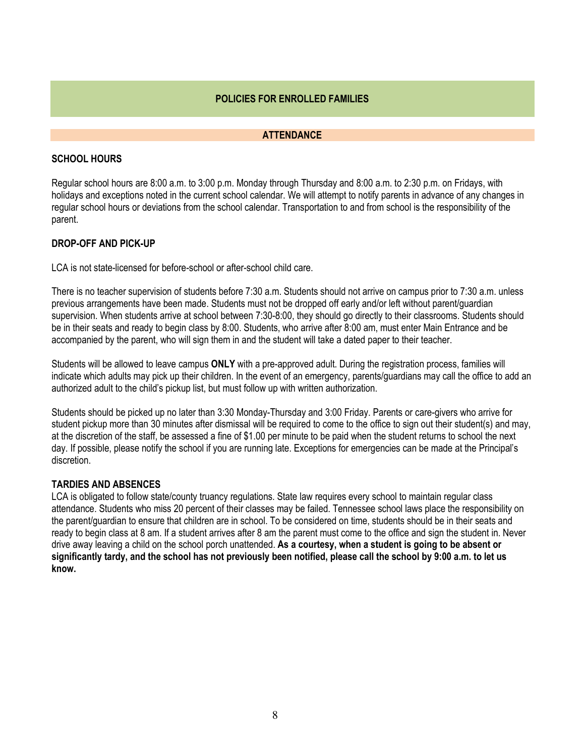## POLICIES FOR ENROLLED FAMILIES

#### **ATTENDANCE**

## SCHOOL HOURS

Regular school hours are 8:00 a.m. to 3:00 p.m. Monday through Thursday and 8:00 a.m. to 2:30 p.m. on Fridays, with holidays and exceptions noted in the current school calendar. We will attempt to notify parents in advance of any changes in regular school hours or deviations from the school calendar. Transportation to and from school is the responsibility of the parent.

## DROP-OFF AND PICK-UP

LCA is not state-licensed for before-school or after-school child care.

There is no teacher supervision of students before 7:30 a.m. Students should not arrive on campus prior to 7:30 a.m. unless previous arrangements have been made. Students must not be dropped off early and/or left without parent/guardian supervision. When students arrive at school between 7:30-8:00, they should go directly to their classrooms. Students should be in their seats and ready to begin class by 8:00. Students, who arrive after 8:00 am, must enter Main Entrance and be accompanied by the parent, who will sign them in and the student will take a dated paper to their teacher.

Students will be allowed to leave campus ONLY with a pre-approved adult. During the registration process, families will indicate which adults may pick up their children. In the event of an emergency, parents/guardians may call the office to add an authorized adult to the child's pickup list, but must follow up with written authorization.

Students should be picked up no later than 3:30 Monday-Thursday and 3:00 Friday. Parents or care-givers who arrive for student pickup more than 30 minutes after dismissal will be required to come to the office to sign out their student(s) and may, at the discretion of the staff, be assessed a fine of \$1.00 per minute to be paid when the student returns to school the next day. If possible, please notify the school if you are running late. Exceptions for emergencies can be made at the Principal's discretion.

#### TARDIES AND ABSENCES

LCA is obligated to follow state/county truancy regulations. State law requires every school to maintain regular class attendance. Students who miss 20 percent of their classes may be failed. Tennessee school laws place the responsibility on the parent/guardian to ensure that children are in school. To be considered on time, students should be in their seats and ready to begin class at 8 am. If a student arrives after 8 am the parent must come to the office and sign the student in. Never drive away leaving a child on the school porch unattended. As a courtesy, when a student is going to be absent or significantly tardy, and the school has not previously been notified, please call the school by 9:00 a.m. to let us know.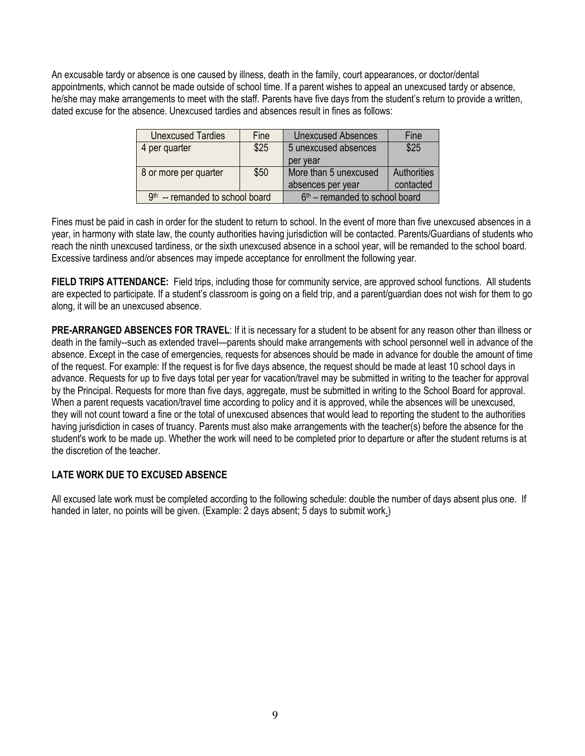An excusable tardy or absence is one caused by illness, death in the family, court appearances, or doctor/dental appointments, which cannot be made outside of school time. If a parent wishes to appeal an unexcused tardy or absence, he/she may make arrangements to meet with the staff. Parents have five days from the student's return to provide a written, dated excuse for the absence. Unexcused tardies and absences result in fines as follows:

| <b>Unexcused Tardies</b>                                              | Fine | <b>Unexcused Absences</b> | Fine        |
|-----------------------------------------------------------------------|------|---------------------------|-------------|
| 4 per quarter                                                         | \$25 | 5 unexcused absences      | \$25        |
|                                                                       |      | per year                  |             |
| 8 or more per quarter                                                 | \$50 | More than 5 unexcused     | Authorities |
|                                                                       |      | absences per year         | contacted   |
| $9th$ -- remanded to school board<br>$6th$ – remanded to school board |      |                           |             |

Fines must be paid in cash in order for the student to return to school. In the event of more than five unexcused absences in a year, in harmony with state law, the county authorities having jurisdiction will be contacted. Parents/Guardians of students who reach the ninth unexcused tardiness, or the sixth unexcused absence in a school year, will be remanded to the school board. Excessive tardiness and/or absences may impede acceptance for enrollment the following year.

FIELD TRIPS ATTENDANCE: Field trips, including those for community service, are approved school functions. All students are expected to participate. If a student's classroom is going on a field trip, and a parent/guardian does not wish for them to go along, it will be an unexcused absence.

PRE-ARRANGED ABSENCES FOR TRAVEL: If it is necessary for a student to be absent for any reason other than illness or death in the family--such as extended travel—parents should make arrangements with school personnel well in advance of the absence. Except in the case of emergencies, requests for absences should be made in advance for double the amount of time of the request. For example: If the request is for five days absence, the request should be made at least 10 school days in advance. Requests for up to five days total per year for vacation/travel may be submitted in writing to the teacher for approval by the Principal. Requests for more than five days, aggregate, must be submitted in writing to the School Board for approval. When a parent requests vacation/travel time according to policy and it is approved, while the absences will be unexcused, they will not count toward a fine or the total of unexcused absences that would lead to reporting the student to the authorities having jurisdiction in cases of truancy. Parents must also make arrangements with the teacher(s) before the absence for the student's work to be made up. Whether the work will need to be completed prior to departure or after the student returns is at the discretion of the teacher.

## LATE WORK DUE TO EXCUSED ABSENCE

All excused late work must be completed according to the following schedule: double the number of days absent plus one. If handed in later, no points will be given. (Example: 2 days absent; 5 days to submit work.)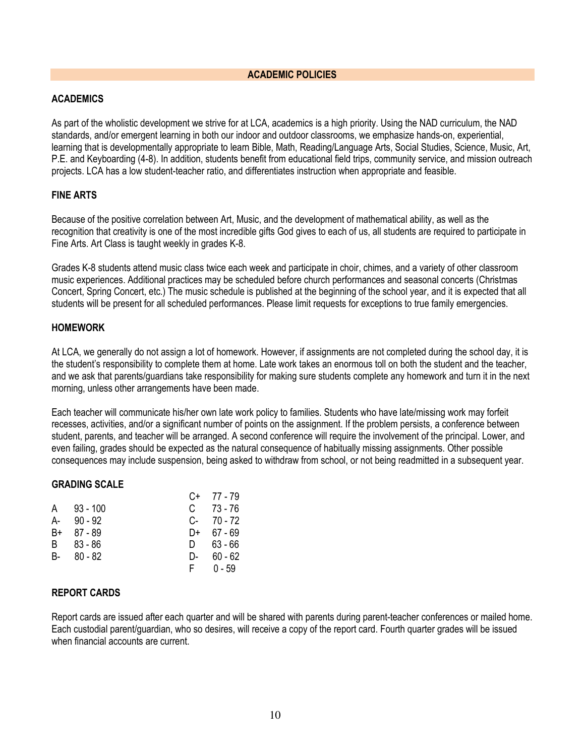#### ACADEMIC POLICIES

## ACADEMICS

As part of the wholistic development we strive for at LCA, academics is a high priority. Using the NAD curriculum, the NAD standards, and/or emergent learning in both our indoor and outdoor classrooms, we emphasize hands-on, experiential, learning that is developmentally appropriate to learn Bible, Math, Reading/Language Arts, Social Studies, Science, Music, Art, P.E. and Keyboarding (4-8). In addition, students benefit from educational field trips, community service, and mission outreach projects. LCA has a low student-teacher ratio, and differentiates instruction when appropriate and feasible.

## FINE ARTS

Because of the positive correlation between Art, Music, and the development of mathematical ability, as well as the recognition that creativity is one of the most incredible gifts God gives to each of us, all students are required to participate in Fine Arts. Art Class is taught weekly in grades K-8.

Grades K-8 students attend music class twice each week and participate in choir, chimes, and a variety of other classroom music experiences. Additional practices may be scheduled before church performances and seasonal concerts (Christmas Concert, Spring Concert, etc.) The music schedule is published at the beginning of the school year, and it is expected that all students will be present for all scheduled performances. Please limit requests for exceptions to true family emergencies.

#### HOMEWORK

At LCA, we generally do not assign a lot of homework. However, if assignments are not completed during the school day, it is the student's responsibility to complete them at home. Late work takes an enormous toll on both the student and the teacher, and we ask that parents/guardians take responsibility for making sure students complete any homework and turn it in the next morning, unless other arrangements have been made.

Each teacher will communicate his/her own late work policy to families. Students who have late/missing work may forfeit recesses, activities, and/or a significant number of points on the assignment. If the problem persists, a conference between student, parents, and teacher will be arranged. A second conference will require the involvement of the principal. Lower, and even failing, grades should be expected as the natural consequence of habitually missing assignments. Other possible consequences may include suspension, being asked to withdraw from school, or not being readmitted in a subsequent year.

#### GRADING SCALE

|      |            | C+   | 77 - 79   |
|------|------------|------|-----------|
| A    | $93 - 100$ | C.   | 73 - 76   |
| А-   | $90 - 92$  | $C-$ | 70 - 72   |
| B+   | 87 - 89    | D+   | $67 - 69$ |
| B.   | $83 - 86$  | D.   | 63 - 66   |
| B- 1 | $80 - 82$  | D-   | $60 - 62$ |
|      |            | F.   | $0 - 59$  |

#### REPORT CARDS

Report cards are issued after each quarter and will be shared with parents during parent-teacher conferences or mailed home. Each custodial parent/guardian, who so desires, will receive a copy of the report card. Fourth quarter grades will be issued when financial accounts are current.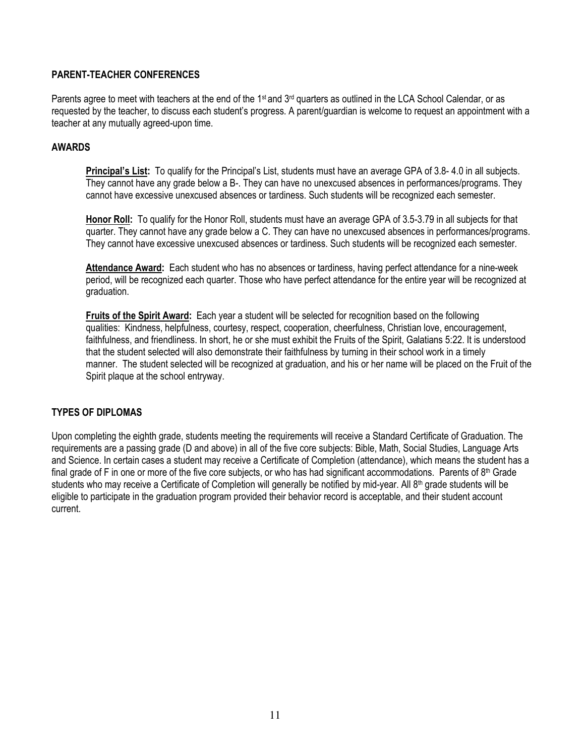## PARENT-TEACHER CONFERENCES

Parents agree to meet with teachers at the end of the 1<sup>st</sup> and 3<sup>rd</sup> quarters as outlined in the LCA School Calendar, or as requested by the teacher, to discuss each student's progress. A parent/guardian is welcome to request an appointment with a teacher at any mutually agreed-upon time.

## AWARDS

Principal's List: To qualify for the Principal's List, students must have an average GPA of 3.8- 4.0 in all subjects. They cannot have any grade below a B-. They can have no unexcused absences in performances/programs. They cannot have excessive unexcused absences or tardiness. Such students will be recognized each semester.

Honor Roll: To qualify for the Honor Roll, students must have an average GPA of 3.5-3.79 in all subjects for that quarter. They cannot have any grade below a C. They can have no unexcused absences in performances/programs. They cannot have excessive unexcused absences or tardiness. Such students will be recognized each semester.

Attendance Award: Each student who has no absences or tardiness, having perfect attendance for a nine-week period, will be recognized each quarter. Those who have perfect attendance for the entire year will be recognized at graduation.

Fruits of the Spirit Award: Each year a student will be selected for recognition based on the following qualities: Kindness, helpfulness, courtesy, respect, cooperation, cheerfulness, Christian love, encouragement, faithfulness, and friendliness. In short, he or she must exhibit the Fruits of the Spirit, Galatians 5:22. It is understood that the student selected will also demonstrate their faithfulness by turning in their school work in a timely manner. The student selected will be recognized at graduation, and his or her name will be placed on the Fruit of the Spirit plaque at the school entryway.

## TYPES OF DIPLOMAS

Upon completing the eighth grade, students meeting the requirements will receive a Standard Certificate of Graduation. The requirements are a passing grade (D and above) in all of the five core subjects: Bible, Math, Social Studies, Language Arts and Science. In certain cases a student may receive a Certificate of Completion (attendance), which means the student has a final grade of F in one or more of the five core subjects, or who has had significant accommodations. Parents of  $8<sup>th</sup>$  Grade students who may receive a Certificate of Completion will generally be notified by mid-year. All  $8<sup>th</sup>$  grade students will be eligible to participate in the graduation program provided their behavior record is acceptable, and their student account current.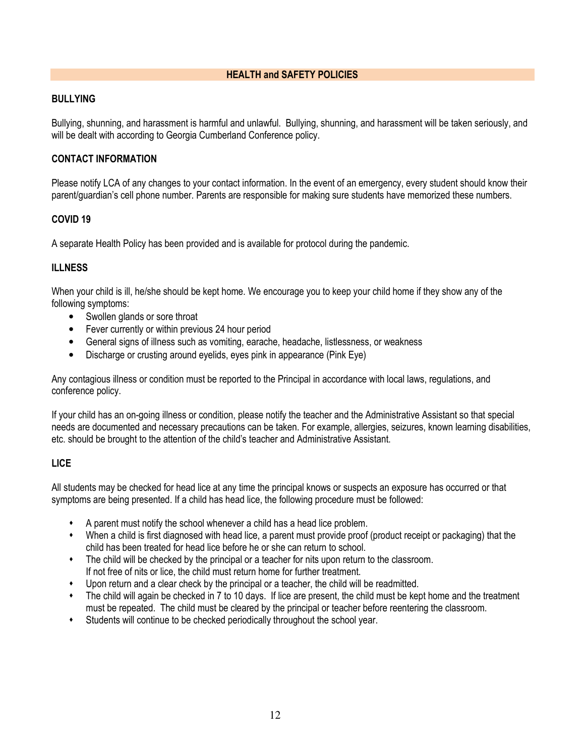## HEALTH and SAFETY POLICIES

#### BULLYING

Bullying, shunning, and harassment is harmful and unlawful. Bullying, shunning, and harassment will be taken seriously, and will be dealt with according to Georgia Cumberland Conference policy.

## CONTACT INFORMATION

Please notify LCA of any changes to your contact information. In the event of an emergency, every student should know their parent/guardian's cell phone number. Parents are responsible for making sure students have memorized these numbers.

## COVID 19

A separate Health Policy has been provided and is available for protocol during the pandemic.

## **ILLNESS**

When your child is ill, he/she should be kept home. We encourage you to keep your child home if they show any of the following symptoms:

- Swollen glands or sore throat
- Fever currently or within previous 24 hour period
- General signs of illness such as vomiting, earache, headache, listlessness, or weakness
- Discharge or crusting around eyelids, eyes pink in appearance (Pink Eye)

Any contagious illness or condition must be reported to the Principal in accordance with local laws, regulations, and conference policy.

If your child has an on-going illness or condition, please notify the teacher and the Administrative Assistant so that special needs are documented and necessary precautions can be taken. For example, allergies, seizures, known learning disabilities, etc. should be brought to the attention of the child's teacher and Administrative Assistant.

## LICE

All students may be checked for head lice at any time the principal knows or suspects an exposure has occurred or that symptoms are being presented. If a child has head lice, the following procedure must be followed:

- $\ddot{\bullet}$ A parent must notify the school whenever a child has a head lice problem.
- $\ddot{\bullet}$  When a child is first diagnosed with head lice, a parent must provide proof (product receipt or packaging) that the child has been treated for head lice before he or she can return to school.
- The child will be checked by the principal or a teacher for nits upon return to the classroom. If not free of nits or lice, the child must return home for further treatment.
- $\ddot{\bullet}$ Upon return and a clear check by the principal or a teacher, the child will be readmitted.
- $\ddot{\bullet}$  The child will again be checked in 7 to 10 days. If lice are present, the child must be kept home and the treatment must be repeated. The child must be cleared by the principal or teacher before reentering the classroom.
- $\ddot{\bullet}$ Students will continue to be checked periodically throughout the school year.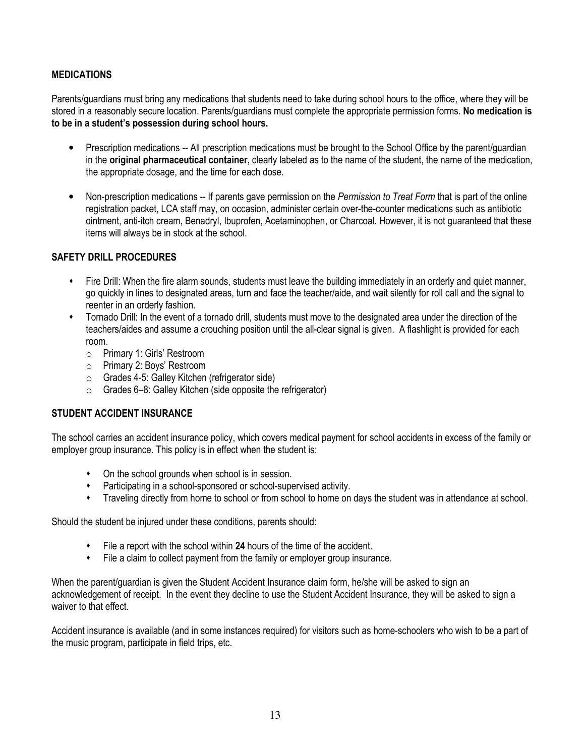## MEDICATIONS

Parents/guardians must bring any medications that students need to take during school hours to the office, where they will be stored in a reasonably secure location. Parents/guardians must complete the appropriate permission forms. No medication is to be in a student's possession during school hours.

- Prescription medications -- All prescription medications must be brought to the School Office by the parent/guardian in the original pharmaceutical container, clearly labeled as to the name of the student, the name of the medication, the appropriate dosage, and the time for each dose.
- Non-prescription medications -- If parents gave permission on the *Permission to Treat Form* that is part of the online registration packet, LCA staff may, on occasion, administer certain over-the-counter medications such as antibiotic ointment, anti-itch cream, Benadryl, Ibuprofen, Acetaminophen, or Charcoal. However, it is not guaranteed that these items will always be in stock at the school.

## SAFETY DRILL PROCEDURES

- $\ddot{\bullet}$  Fire Drill: When the fire alarm sounds, students must leave the building immediately in an orderly and quiet manner, go quickly in lines to designated areas, turn and face the teacher/aide, and wait silently for roll call and the signal to reenter in an orderly fashion.
- Tornado Drill: In the event of a tornado drill, students must move to the designated area under the direction of the teachers/aides and assume a crouching position until the all-clear signal is given. A flashlight is provided for each room.
	- o Primary 1: Girls' Restroom
	- o Primary 2: Boys' Restroom
	- o Grades 4-5: Galley Kitchen (refrigerator side)
	- o Grades 6–8: Galley Kitchen (side opposite the refrigerator)

## STUDENT ACCIDENT INSURANCE

The school carries an accident insurance policy, which covers medical payment for school accidents in excess of the family or employer group insurance. This policy is in effect when the student is:

- On the school grounds when school is in session.
- Participating in a school-sponsored or school-supervised activity.
- Traveling directly from home to school or from school to home on days the student was in attendance at school.

Should the student be injured under these conditions, parents should:

- File a report with the school within 24 hours of the time of the accident.
- File a claim to collect payment from the family or employer group insurance.

When the parent/quardian is given the Student Accident Insurance claim form, he/she will be asked to sign an acknowledgement of receipt. In the event they decline to use the Student Accident Insurance, they will be asked to sign a waiver to that effect.

Accident insurance is available (and in some instances required) for visitors such as home-schoolers who wish to be a part of the music program, participate in field trips, etc.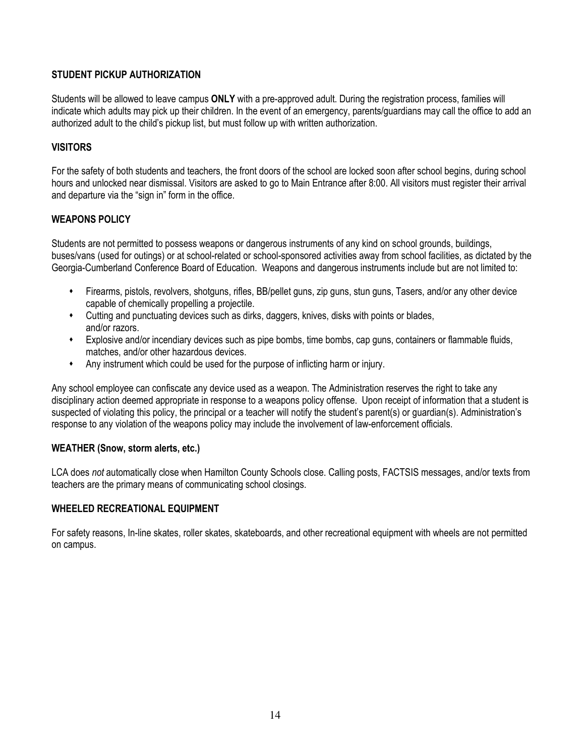## STUDENT PICKUP AUTHORIZATION

Students will be allowed to leave campus ONLY with a pre-approved adult. During the registration process, families will indicate which adults may pick up their children. In the event of an emergency, parents/guardians may call the office to add an authorized adult to the child's pickup list, but must follow up with written authorization.

## **VISITORS**

For the safety of both students and teachers, the front doors of the school are locked soon after school begins, during school hours and unlocked near dismissal. Visitors are asked to go to Main Entrance after 8:00. All visitors must register their arrival and departure via the "sign in" form in the office.

## WEAPONS POLICY

Students are not permitted to possess weapons or dangerous instruments of any kind on school grounds, buildings, buses/vans (used for outings) or at school-related or school-sponsored activities away from school facilities, as dictated by the Georgia-Cumberland Conference Board of Education. Weapons and dangerous instruments include but are not limited to:

- $\bullet$  Firearms, pistols, revolvers, shotguns, rifles, BB/pellet guns, zip guns, stun guns, Tasers, and/or any other device capable of chemically propelling a projectile.
- Cutting and punctuating devices such as dirks, daggers, knives, disks with points or blades, and/or razors.
- Explosive and/or incendiary devices such as pipe bombs, time bombs, cap guns, containers or flammable fluids, matches, and/or other hazardous devices.
- $\bullet$ Any instrument which could be used for the purpose of inflicting harm or injury.

Any school employee can confiscate any device used as a weapon. The Administration reserves the right to take any disciplinary action deemed appropriate in response to a weapons policy offense. Upon receipt of information that a student is suspected of violating this policy, the principal or a teacher will notify the student's parent(s) or quardian(s). Administration's response to any violation of the weapons policy may include the involvement of law-enforcement officials.

## WEATHER (Snow, storm alerts, etc.)

LCA does not automatically close when Hamilton County Schools close. Calling posts, FACTSIS messages, and/or texts from teachers are the primary means of communicating school closings.

## WHEELED RECREATIONAL EQUIPMENT

For safety reasons, In-line skates, roller skates, skateboards, and other recreational equipment with wheels are not permitted on campus.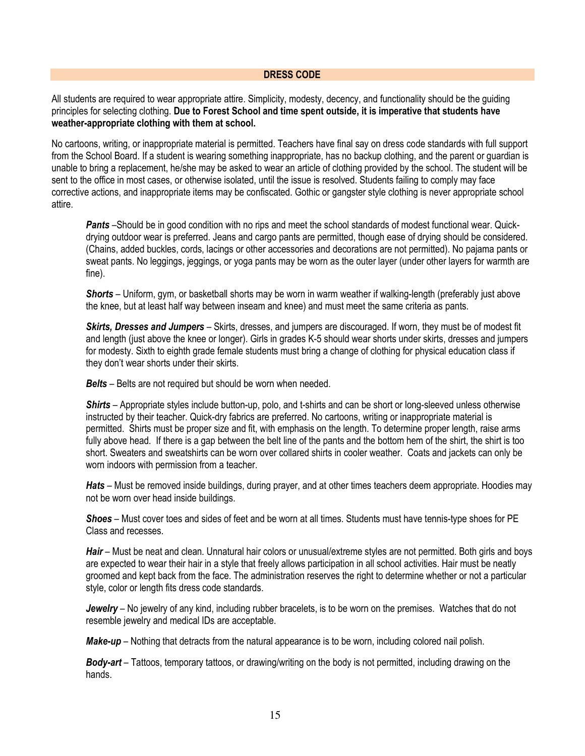#### DRESS CODE

All students are required to wear appropriate attire. Simplicity, modesty, decency, and functionality should be the guiding principles for selecting clothing. Due to Forest School and time spent outside, it is imperative that students have weather-appropriate clothing with them at school.

No cartoons, writing, or inappropriate material is permitted. Teachers have final say on dress code standards with full support from the School Board. If a student is wearing something inappropriate, has no backup clothing, and the parent or guardian is unable to bring a replacement, he/she may be asked to wear an article of clothing provided by the school. The student will be sent to the office in most cases, or otherwise isolated, until the issue is resolved. Students failing to comply may face corrective actions, and inappropriate items may be confiscated. Gothic or gangster style clothing is never appropriate school attire.

**Pants** –Should be in good condition with no rips and meet the school standards of modest functional wear. Quickdrying outdoor wear is preferred. Jeans and cargo pants are permitted, though ease of drying should be considered. (Chains, added buckles, cords, lacings or other accessories and decorations are not permitted). No pajama pants or sweat pants. No leggings, jeggings, or yoga pants may be worn as the outer layer (under other layers for warmth are fine).

Shorts – Uniform, gym, or basketball shorts may be worn in warm weather if walking-length (preferably just above the knee, but at least half way between inseam and knee) and must meet the same criteria as pants.

Skirts, Dresses and Jumpers – Skirts, dresses, and jumpers are discouraged. If worn, they must be of modest fit and length (just above the knee or longer). Girls in grades K-5 should wear shorts under skirts, dresses and jumpers for modesty. Sixth to eighth grade female students must bring a change of clothing for physical education class if they don't wear shorts under their skirts.

Belts - Belts are not required but should be worn when needed.

Shirts – Appropriate styles include button-up, polo, and t-shirts and can be short or long-sleeved unless otherwise instructed by their teacher. Quick-dry fabrics are preferred. No cartoons, writing or inappropriate material is permitted. Shirts must be proper size and fit, with emphasis on the length. To determine proper length, raise arms fully above head. If there is a gap between the belt line of the pants and the bottom hem of the shirt, the shirt is too short. Sweaters and sweatshirts can be worn over collared shirts in cooler weather. Coats and jackets can only be worn indoors with permission from a teacher.

Hats – Must be removed inside buildings, during prayer, and at other times teachers deem appropriate. Hoodies may not be worn over head inside buildings.

Shoes – Must cover toes and sides of feet and be worn at all times. Students must have tennis-type shoes for PE Class and recesses.

Hair – Must be neat and clean. Unnatural hair colors or unusual/extreme styles are not permitted. Both girls and boys are expected to wear their hair in a style that freely allows participation in all school activities. Hair must be neatly groomed and kept back from the face. The administration reserves the right to determine whether or not a particular style, color or length fits dress code standards.

Jewelry - No jewelry of any kind, including rubber bracelets, is to be worn on the premises. Watches that do not resemble jewelry and medical IDs are acceptable.

Make-up – Nothing that detracts from the natural appearance is to be worn, including colored nail polish.

**Body-art** – Tattoos, temporary tattoos, or drawing/writing on the body is not permitted, including drawing on the hands.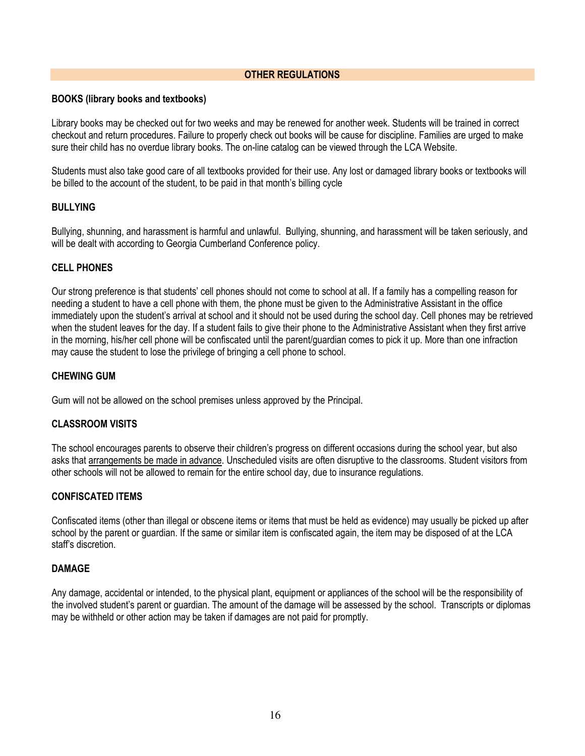### OTHER REGULATIONS

#### BOOKS (library books and textbooks)

Library books may be checked out for two weeks and may be renewed for another week. Students will be trained in correct checkout and return procedures. Failure to properly check out books will be cause for discipline. Families are urged to make sure their child has no overdue library books. The on-line catalog can be viewed through the LCA Website.

Students must also take good care of all textbooks provided for their use. Any lost or damaged library books or textbooks will be billed to the account of the student, to be paid in that month's billing cycle

#### BULLYING

Bullying, shunning, and harassment is harmful and unlawful. Bullying, shunning, and harassment will be taken seriously, and will be dealt with according to Georgia Cumberland Conference policy.

#### CELL PHONES

Our strong preference is that students' cell phones should not come to school at all. If a family has a compelling reason for needing a student to have a cell phone with them, the phone must be given to the Administrative Assistant in the office immediately upon the student's arrival at school and it should not be used during the school day. Cell phones may be retrieved when the student leaves for the day. If a student fails to give their phone to the Administrative Assistant when they first arrive in the morning, his/her cell phone will be confiscated until the parent/guardian comes to pick it up. More than one infraction may cause the student to lose the privilege of bringing a cell phone to school.

#### CHEWING GUM

Gum will not be allowed on the school premises unless approved by the Principal.

#### CLASSROOM VISITS

The school encourages parents to observe their children's progress on different occasions during the school year, but also asks that arrangements be made in advance. Unscheduled visits are often disruptive to the classrooms. Student visitors from other schools will not be allowed to remain for the entire school day, due to insurance regulations.

#### CONFISCATED ITEMS

Confiscated items (other than illegal or obscene items or items that must be held as evidence) may usually be picked up after school by the parent or guardian. If the same or similar item is confiscated again, the item may be disposed of at the LCA staff's discretion.

#### DAMAGE

Any damage, accidental or intended, to the physical plant, equipment or appliances of the school will be the responsibility of the involved student's parent or guardian. The amount of the damage will be assessed by the school. Transcripts or diplomas may be withheld or other action may be taken if damages are not paid for promptly.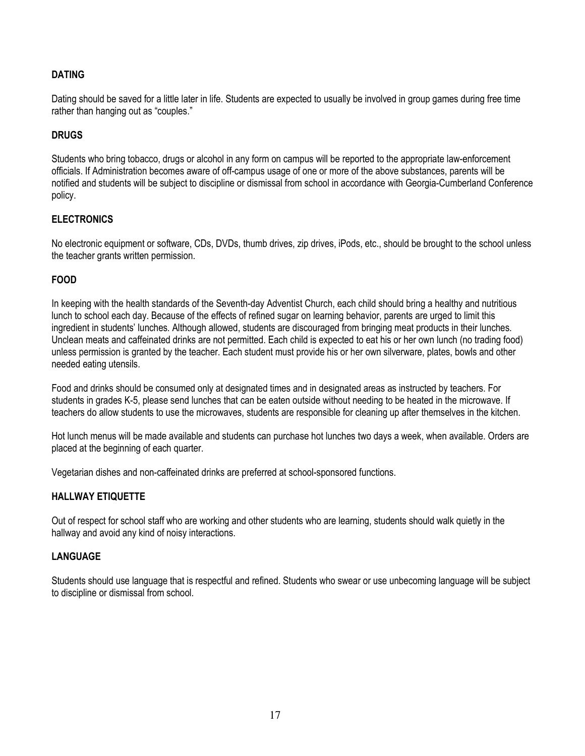## DATING

Dating should be saved for a little later in life. Students are expected to usually be involved in group games during free time rather than hanging out as "couples."

## DRUGS

Students who bring tobacco, drugs or alcohol in any form on campus will be reported to the appropriate law-enforcement officials. If Administration becomes aware of off-campus usage of one or more of the above substances, parents will be notified and students will be subject to discipline or dismissal from school in accordance with Georgia-Cumberland Conference policy.

## **ELECTRONICS**

No electronic equipment or software, CDs, DVDs, thumb drives, zip drives, iPods, etc., should be brought to the school unless the teacher grants written permission.

## FOOD

In keeping with the health standards of the Seventh-day Adventist Church, each child should bring a healthy and nutritious lunch to school each day. Because of the effects of refined sugar on learning behavior, parents are urged to limit this ingredient in students' lunches. Although allowed, students are discouraged from bringing meat products in their lunches. Unclean meats and caffeinated drinks are not permitted. Each child is expected to eat his or her own lunch (no trading food) unless permission is granted by the teacher. Each student must provide his or her own silverware, plates, bowls and other needed eating utensils.

Food and drinks should be consumed only at designated times and in designated areas as instructed by teachers. For students in grades K-5, please send lunches that can be eaten outside without needing to be heated in the microwave. If teachers do allow students to use the microwaves, students are responsible for cleaning up after themselves in the kitchen.

Hot lunch menus will be made available and students can purchase hot lunches two days a week, when available. Orders are placed at the beginning of each quarter.

Vegetarian dishes and non-caffeinated drinks are preferred at school-sponsored functions.

#### HALLWAY ETIQUETTE

Out of respect for school staff who are working and other students who are learning, students should walk quietly in the hallway and avoid any kind of noisy interactions.

#### LANGUAGE

Students should use language that is respectful and refined. Students who swear or use unbecoming language will be subject to discipline or dismissal from school.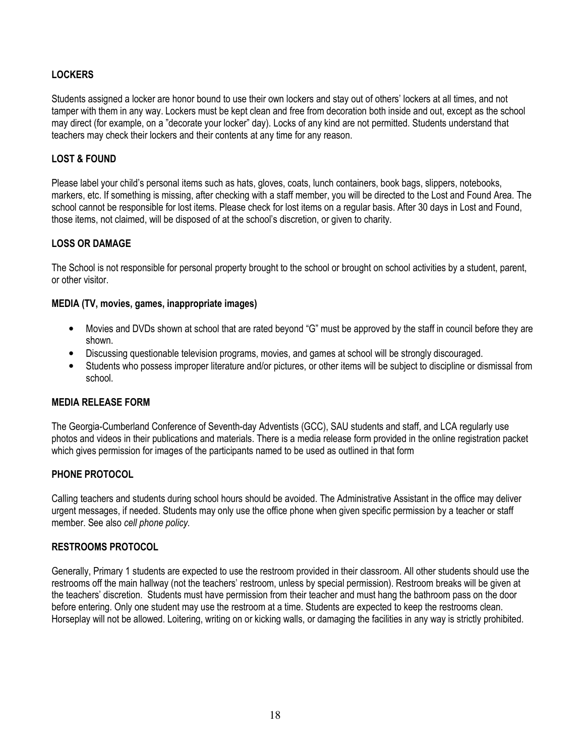## **LOCKERS**

Students assigned a locker are honor bound to use their own lockers and stay out of others' lockers at all times, and not tamper with them in any way. Lockers must be kept clean and free from decoration both inside and out, except as the school may direct (for example, on a "decorate your locker" day). Locks of any kind are not permitted. Students understand that teachers may check their lockers and their contents at any time for any reason.

## LOST & FOUND

Please label your child's personal items such as hats, gloves, coats, lunch containers, book bags, slippers, notebooks, markers, etc. If something is missing, after checking with a staff member, you will be directed to the Lost and Found Area. The school cannot be responsible for lost items. Please check for lost items on a regular basis. After 30 days in Lost and Found, those items, not claimed, will be disposed of at the school's discretion, or given to charity.

## LOSS OR DAMAGE

The School is not responsible for personal property brought to the school or brought on school activities by a student, parent, or other visitor.

#### MEDIA (TV, movies, games, inappropriate images)

- Movies and DVDs shown at school that are rated beyond "G" must be approved by the staff in council before they are shown.
- Discussing questionable television programs, movies, and games at school will be strongly discouraged.
- Students who possess improper literature and/or pictures, or other items will be subject to discipline or dismissal from school.

#### MEDIA RELEASE FORM

The Georgia-Cumberland Conference of Seventh-day Adventists (GCC), SAU students and staff, and LCA regularly use photos and videos in their publications and materials. There is a media release form provided in the online registration packet which gives permission for images of the participants named to be used as outlined in that form

#### PHONE PROTOCOL

Calling teachers and students during school hours should be avoided. The Administrative Assistant in the office may deliver urgent messages, if needed. Students may only use the office phone when given specific permission by a teacher or staff member. See also cell phone policy.

## RESTROOMS PROTOCOL

Generally, Primary 1 students are expected to use the restroom provided in their classroom. All other students should use the restrooms off the main hallway (not the teachers' restroom, unless by special permission). Restroom breaks will be given at the teachers' discretion. Students must have permission from their teacher and must hang the bathroom pass on the door before entering. Only one student may use the restroom at a time. Students are expected to keep the restrooms clean. Horseplay will not be allowed. Loitering, writing on or kicking walls, or damaging the facilities in any way is strictly prohibited.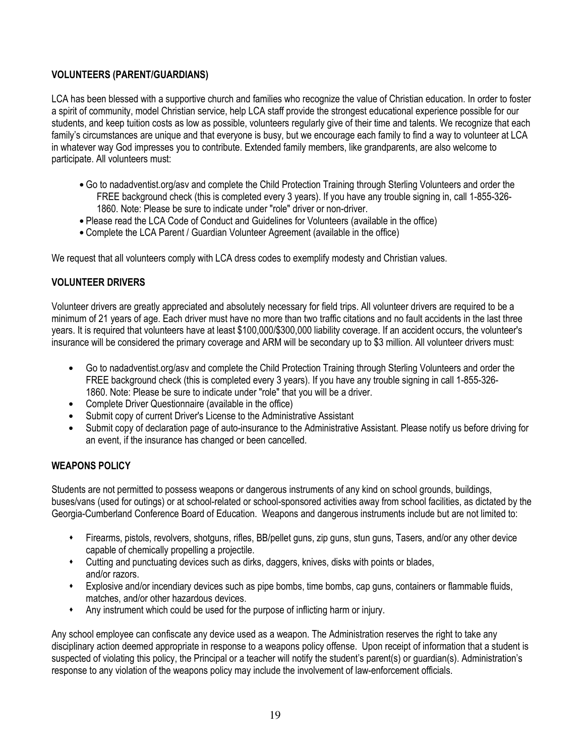## VOLUNTEERS (PARENT/GUARDIANS)

LCA has been blessed with a supportive church and families who recognize the value of Christian education. In order to foster a spirit of community, model Christian service, help LCA staff provide the strongest educational experience possible for our students, and keep tuition costs as low as possible, volunteers regularly give of their time and talents. We recognize that each family's circumstances are unique and that everyone is busy, but we encourage each family to find a way to volunteer at LCA in whatever way God impresses you to contribute. Extended family members, like grandparents, are also welcome to participate. All volunteers must:

- Go to nadadventist.org/asv and complete the Child Protection Training through Sterling Volunteers and order the FREE background check (this is completed every 3 years). If you have any trouble signing in, call 1-855-326- 1860. Note: Please be sure to indicate under "role" driver or non-driver.
- Please read the LCA Code of Conduct and Guidelines for Volunteers (available in the office)
- Complete the LCA Parent / Guardian Volunteer Agreement (available in the office)

We request that all volunteers comply with LCA dress codes to exemplify modesty and Christian values.

## VOLUNTEER DRIVERS

Volunteer drivers are greatly appreciated and absolutely necessary for field trips. All volunteer drivers are required to be a minimum of 21 years of age. Each driver must have no more than two traffic citations and no fault accidents in the last three years. It is required that volunteers have at least \$100,000/\$300,000 liability coverage. If an accident occurs, the volunteer's insurance will be considered the primary coverage and ARM will be secondary up to \$3 million. All volunteer drivers must:

- Go to nadadventist.org/asv and complete the Child Protection Training through Sterling Volunteers and order the FREE background check (this is completed every 3 years). If you have any trouble signing in call 1-855-326- 1860. Note: Please be sure to indicate under "role" that you will be a driver.
- Complete Driver Questionnaire (available in the office)
- Submit copy of current Driver's License to the Administrative Assistant
- Submit copy of declaration page of auto-insurance to the Administrative Assistant. Please notify us before driving for an event, if the insurance has changed or been cancelled.

## WEAPONS POLICY

Students are not permitted to possess weapons or dangerous instruments of any kind on school grounds, buildings, buses/vans (used for outings) or at school-related or school-sponsored activities away from school facilities, as dictated by the Georgia-Cumberland Conference Board of Education. Weapons and dangerous instruments include but are not limited to:

- Firearms, pistols, revolvers, shotguns, rifles, BB/pellet guns, zip guns, stun guns, Tasers, and/or any other device capable of chemically propelling a projectile.
- Cutting and punctuating devices such as dirks, daggers, knives, disks with points or blades, and/or razors.
- Explosive and/or incendiary devices such as pipe bombs, time bombs, cap guns, containers or flammable fluids, matches, and/or other hazardous devices.
- $\ddot{\bullet}$ Any instrument which could be used for the purpose of inflicting harm or injury.

Any school employee can confiscate any device used as a weapon. The Administration reserves the right to take any disciplinary action deemed appropriate in response to a weapons policy offense. Upon receipt of information that a student is suspected of violating this policy, the Principal or a teacher will notify the student's parent(s) or quardian(s). Administration's response to any violation of the weapons policy may include the involvement of law-enforcement officials.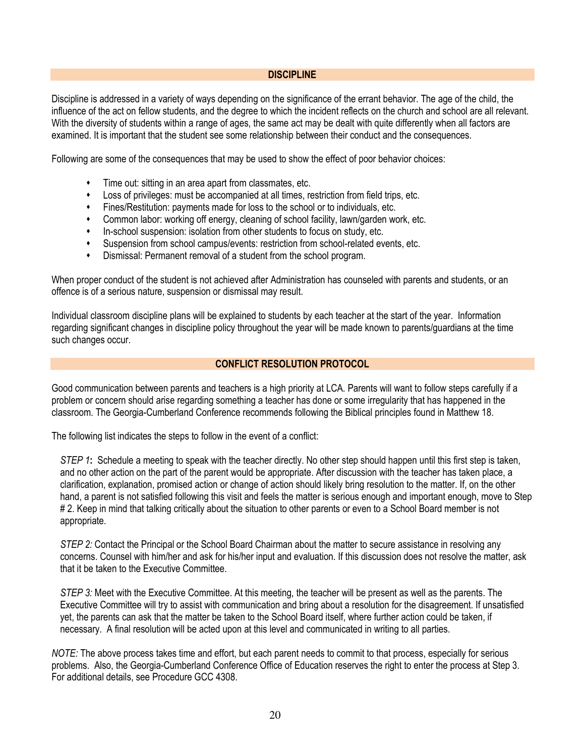#### DISCIPLINE

Discipline is addressed in a variety of ways depending on the significance of the errant behavior. The age of the child, the influence of the act on fellow students, and the degree to which the incident reflects on the church and school are all relevant. With the diversity of students within a range of ages, the same act may be dealt with quite differently when all factors are examined. It is important that the student see some relationship between their conduct and the consequences.

Following are some of the consequences that may be used to show the effect of poor behavior choices:

- $\ddot{\bullet}$ Time out: sitting in an area apart from classmates, etc.
- $\ddot{\bullet}$ Loss of privileges: must be accompanied at all times, restriction from field trips, etc.
- $\ddot{\phantom{0}}$ Fines/Restitution: payments made for loss to the school or to individuals, etc.
- Common labor: working off energy, cleaning of school facility, lawn/garden work, etc.
- $\ddot{\phantom{0}}$ In-school suspension: isolation from other students to focus on study, etc.
- $\bullet$ Suspension from school campus/events: restriction from school-related events, etc.
- $\ddot{\bullet}$ Dismissal: Permanent removal of a student from the school program.

When proper conduct of the student is not achieved after Administration has counseled with parents and students, or an offence is of a serious nature, suspension or dismissal may result.

Individual classroom discipline plans will be explained to students by each teacher at the start of the year. Information regarding significant changes in discipline policy throughout the year will be made known to parents/guardians at the time such changes occur.

#### CONFLICT RESOLUTION PROTOCOL

Good communication between parents and teachers is a high priority at LCA. Parents will want to follow steps carefully if a problem or concern should arise regarding something a teacher has done or some irregularity that has happened in the classroom. The Georgia-Cumberland Conference recommends following the Biblical principles found in Matthew 18.

The following list indicates the steps to follow in the event of a conflict:

STEP 1: Schedule a meeting to speak with the teacher directly. No other step should happen until this first step is taken, and no other action on the part of the parent would be appropriate. After discussion with the teacher has taken place, a clarification, explanation, promised action or change of action should likely bring resolution to the matter. If, on the other hand, a parent is not satisfied following this visit and feels the matter is serious enough and important enough, move to Step # 2. Keep in mind that talking critically about the situation to other parents or even to a School Board member is not appropriate.

STEP 2: Contact the Principal or the School Board Chairman about the matter to secure assistance in resolving any concerns. Counsel with him/her and ask for his/her input and evaluation. If this discussion does not resolve the matter, ask that it be taken to the Executive Committee.

STEP 3: Meet with the Executive Committee. At this meeting, the teacher will be present as well as the parents. The Executive Committee will try to assist with communication and bring about a resolution for the disagreement. If unsatisfied yet, the parents can ask that the matter be taken to the School Board itself, where further action could be taken, if necessary. A final resolution will be acted upon at this level and communicated in writing to all parties.

NOTE: The above process takes time and effort, but each parent needs to commit to that process, especially for serious problems. Also, the Georgia-Cumberland Conference Office of Education reserves the right to enter the process at Step 3. For additional details, see Procedure GCC 4308.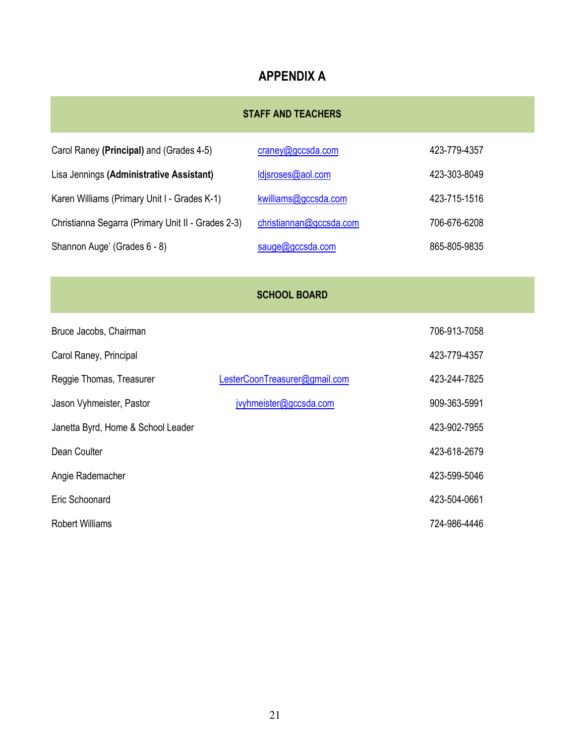# APPENDIX A

# STAFF AND TEACHERS

| Carol Raney (Principal) and (Grades 4-5)           | craney@gccsda.com       | 423-779-4357 |
|----------------------------------------------------|-------------------------|--------------|
| Lisa Jennings (Administrative Assistant)           | ldjsroses@aol.com       | 423-303-8049 |
| Karen Williams (Primary Unit I - Grades K-1)       | kwilliams@gccsda.com    | 423-715-1516 |
| Christianna Segarra (Primary Unit II - Grades 2-3) | christiannan@gccsda.com | 706-676-6208 |
| Shannon Auge' (Grades 6 - 8)                       | sauge@gccsda.com        | 865-805-9835 |

## SCHOOL BOARD

| Bruce Jacobs, Chairman             |                               | 706-913-7058 |
|------------------------------------|-------------------------------|--------------|
| Carol Raney, Principal             |                               | 423-779-4357 |
| Reggie Thomas, Treasurer           | LesterCoonTreasurer@gmail.com | 423-244-7825 |
| Jason Vyhmeister, Pastor           | jvyhmeister@gccsda.com        | 909-363-5991 |
| Janetta Byrd, Home & School Leader |                               | 423-902-7955 |
| Dean Coulter                       |                               | 423-618-2679 |
| Angie Rademacher                   |                               | 423-599-5046 |
| Eric Schoonard                     |                               | 423-504-0661 |
| <b>Robert Williams</b>             |                               | 724-986-4446 |